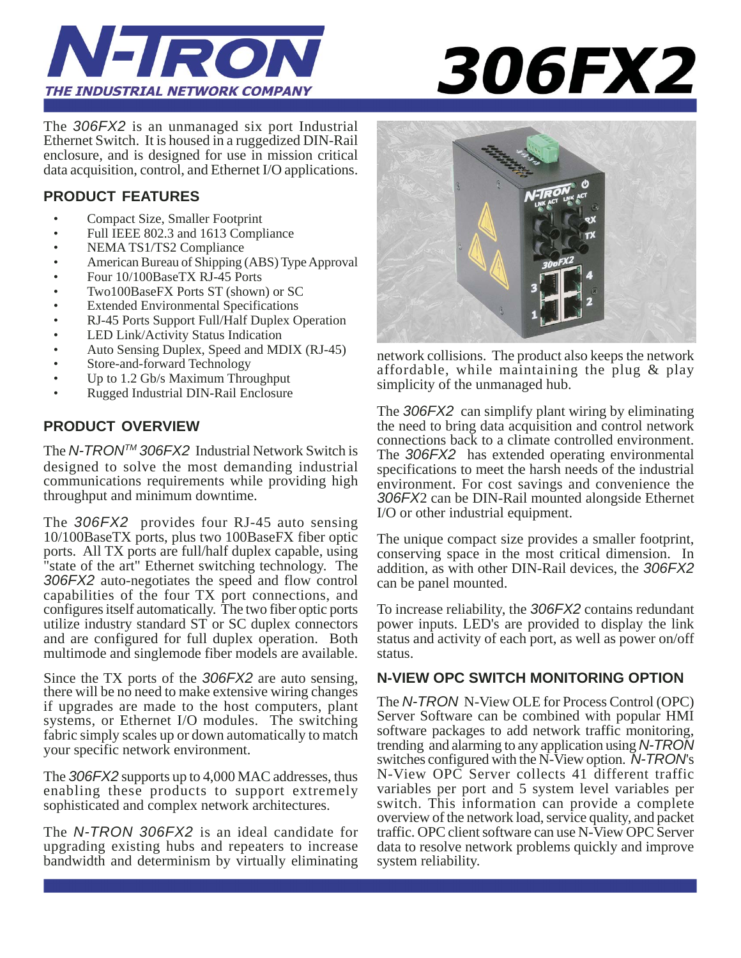

# **306FX2**

The *306FX2* is an unmanaged six port Industrial Ethernet Switch. It is housed in a ruggedized DIN-Rail enclosure, and is designed for use in mission critical data acquisition, control, and Ethernet I/O applications.

#### **PRODUCT FEATURES**

- Compact Size, Smaller Footprint
- Full IEEE 802.3 and 1613 Compliance
- NEMA TS1/TS2 Compliance
- American Bureau of Shipping (ABS) Type Approval
- Four 10/100BaseTX RJ-45 Ports
- Two100BaseFX Ports ST (shown) or SC
- Extended Environmental Specifications
- RJ-45 Ports Support Full/Half Duplex Operation
- LED Link/Activity Status Indication
- Auto Sensing Duplex, Speed and MDIX (RJ-45)
- Store-and-forward Technology
- Up to 1.2 Gb/s Maximum Throughput
- Rugged Industrial DIN-Rail Enclosure

#### **PRODUCT OVERVIEW**

The *N-TRONTM 306FX2* Industrial Network Switch is designed to solve the most demanding industrial communications requirements while providing high throughput and minimum downtime.

The *306FX2* provides four RJ-45 auto sensing 10/100BaseTX ports, plus two 100BaseFX fiber optic ports. All TX ports are full/half duplex capable, using "state of the art" Ethernet switching technology. The *306FX2* auto-negotiates the speed and flow control capabilities of the four TX port connections, and configures itself automatically. The two fiber optic ports utilize industry standard ST or SC duplex connectors and are configured for full duplex operation. Both multimode and singlemode fiber models are available.

Since the TX ports of the *306FX2* are auto sensing, there will be no need to make extensive wiring changes if upgrades are made to the host computers, plant systems, or Ethernet I/O modules. The switching fabric simply scales up or down automatically to match your specific network environment.

The *306FX2* supports up to 4,000 MAC addresses, thus enabling these products to support extremely sophisticated and complex network architectures.

The *N-TRON 306FX2* is an ideal candidate for upgrading existing hubs and repeaters to increase bandwidth and determinism by virtually eliminating



network collisions. The product also keeps the network affordable, while maintaining the plug & play simplicity of the unmanaged hub.

The *306FX2* can simplify plant wiring by eliminating the need to bring data acquisition and control network connections back to a climate controlled environment. The *306FX2* has extended operating environmental specifications to meet the harsh needs of the industrial environment. For cost savings and convenience the *306FX*2 can be DIN-Rail mounted alongside Ethernet I/O or other industrial equipment.

The unique compact size provides a smaller footprint, conserving space in the most critical dimension. In addition, as with other DIN-Rail devices, the *306FX2* can be panel mounted.

To increase reliability, the *306FX2* contains redundant power inputs. LED's are provided to display the link status and activity of each port, as well as power on/off status.

#### **N-VIEW OPC SWITCH MONITORING OPTION**

The *N-TRON* N-View OLE for Process Control (OPC) Server Software can be combined with popular HMI software packages to add network traffic monitoring, trending and alarming to any application using *N-TRON* switches configured with the N-View option. *N-TRON*'s N-View OPC Server collects 41 different traffic variables per port and 5 system level variables per switch. This information can provide a complete overview of the network load, service quality, and packet traffic. OPC client software can use N-View OPC Server data to resolve network problems quickly and improve system reliability.